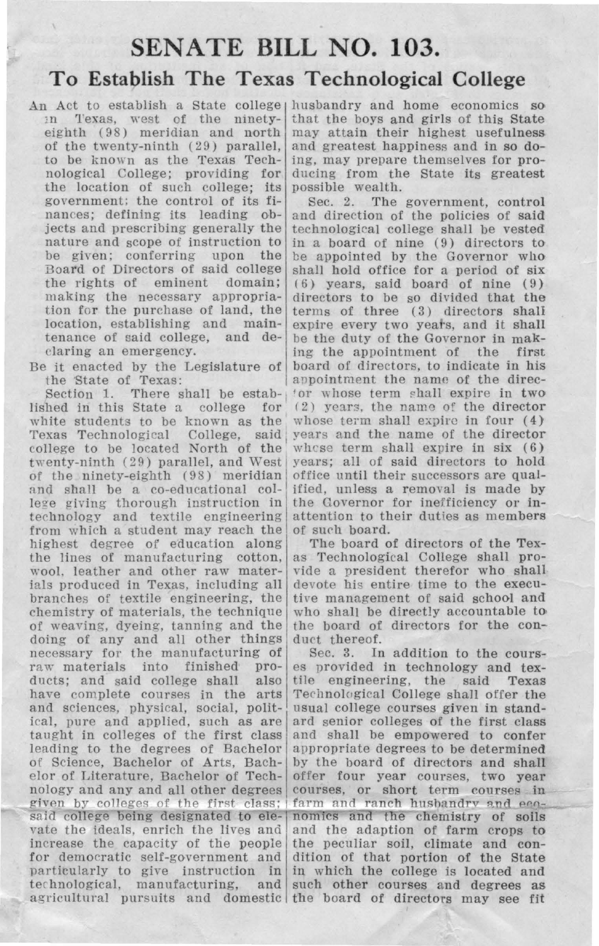## **SENATE BILL NO. 103. To Establish The Texas Technological College**

An Act to establish a State college husbandry and home economics so m Texas, west of the ninety- that the boys and girls of this State eighth (98) meridian and north may attain their highest usefulness of the twenty-ninth  $(29)$  parallel, to be known as the Texas Techthe location of such college; its government; the control of its figovernment; the control of its fi-<br>nances; defining its leading ob-<br>and direction of the policies of said jects and prescribing generally the technological college shall be vested nature and scope of instruction to in a board of nine (9) directors to nature and scope of instruction to in a board of nine  $(9)$  directors to be given; conferring upon the be appointed by the Governor who Board of Directors of said college shall hold office for a period of six<br>the rights of eminent domain; (6) years, said board of nine (9) the rights of eminent domain;  $(6)$  years, said board of nine  $(9)$  making the necessary appropria-<br>directors to be so divided that the

Section 1. There shall be estab-<br>lished in this State a college for white students to be known as the Texas Technological College, said college to be located North of the whose term shall expire in six (6) twenty-ninth (29) parallel, and West years; all of said directors to hold twenty-ninth (29) parallel, and West years; all of said directors to hold<br>of the ninety-eighth (98) meridian office until their successors are qualof the ninety-eighth (98) meridian<br>and shall be a co-educational college giving thorough instruction in<br>technology and textile engineering from which a student may reach the of such board.<br>highest degree of education along The board of directors of the Texhighest degree of education along The board of directors of the Tex-<br>the lines of manufacturing cotton, as Technological College shall prothe lines of manufacturing cotton, wool. leather and other raw materwool, leather and other raw mater- vide a president therefor who shall ials produced in Texas, including all devote his entire time to the execubranches of textile engineering, the tive management of said school and chemistry of materials, the technique who shall be directly accountable to of weaving, dyeing, tanning and the the board of doing of any and all other things duct thereof. doing of any and all other things<br>necessary for the manufacturing of necessary for the manufacturing of Sec. 3. In addition to the cours-<br>raw materials into finished pro- es provided in technology and texducts; and said college shall also tile engineering, the said Texas have complete courses in the arts Technological College shall offer the and sciences, physical, social, polit- usual college courses given in standand sciences, physical, social, polit-<br>ical, pure and applied, such as are ical, pure and applied, such as are ard senior colleges of the first class taught in colleges of the first class and shall be empowered to confer taught in colleges of the first class and shall be empowered to confer leading to the degrees of Bachelor appropriate degrees to be determined of Science, Bachelor of Arts, Bach- by the board of directors and shall elor of Literature, Bachelor of Tech- offer four year courses, two year nology and any and all other degrees courses, or short term courses in given by colleges of the first class; farm and ranch husbandry and  $e^{i\theta}$ said college being designated to ele- nomics and the chemistry of soils vate the ideals, enrich the lives and and the adaption of farm crops to increase the capacity of the people the peculiar soil, climate and confor democratic self-government and dition of that portion of the State particularly to give instruction in in which the college is located and technological, manufacturing, and such other courses and degrees as agricultural pursuits and domestic the board of directors may see fit

eighth ( $98$ ) meridian and north may attain their highest usefulness of the twenty-ninth ( $29$ ) parallel, and greatest happiness and in so doto be known as the Texas Tech- ing, may prepare themselves for pro-<br>nological College; providing for ducing from the State its greatest ducing from the State its greatest<br>possible wealth.

nances; defining its leading  $ob-$  and direction of the policies of said jects and prescribing generally the technological college shall be vested be given; conferring upon the be appointed by the Governor who Board of Directors of said college shall hold office for a period of six making the necessary appropria- directors to be so divided that the tion for the purchase of land, the terms of three  $(3)$  directors shall tion for the purchase of land, the terms of three  $(3)$  directors shall location, establishing and main- expire every two years, and it shall expire every two years, and it shall tenance of said college, and  $de$ - be the duty of the Governor in mak-<br>claring an emergency. claring an emergency. ing the appointment of the it enacted by the Legislature of board of directors, to ind Extracted by the Legislature of board of directors, to indicate in his the State of Texas: appointment the name of the direcappointment the name of the direc-<br>for whose term shall expire in two (2) years, the name of the director whose term shall expire in four  $(4)$ years and the name of the director<br>whose term shall expire in six (6) ified, unless a removal is made by<br>the Governor for inefficiency or inattention to their duties as members<br>of such board.

who shall be directly accountable to<br>the board of directors for the con-

es provided in technology and texappropriate degrees to be determined<br>by the board of directors and shall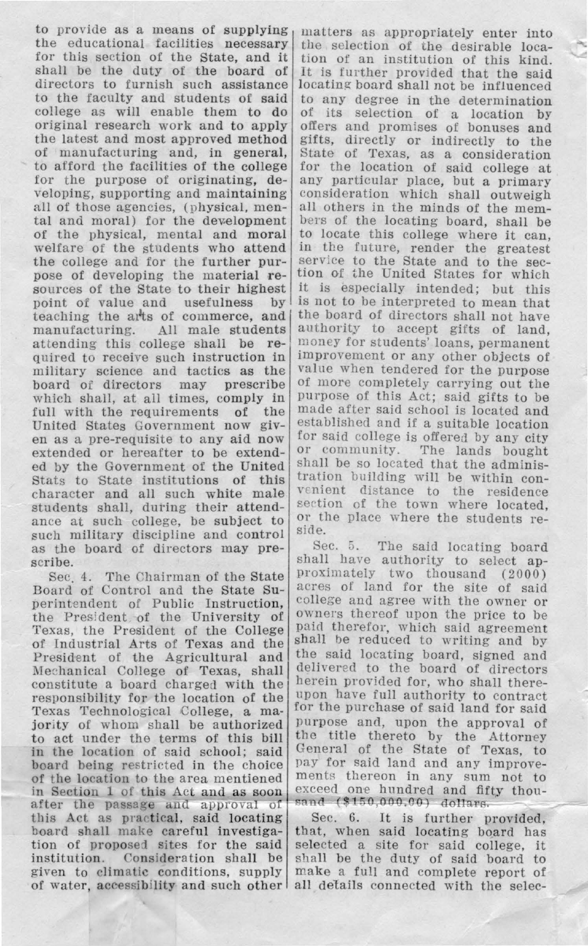to provide as a means of supplying matters as appropriately enter into the educational facilities necessary the selection of the desirable  $loga$ the educational facilities necessary the selection of the desirable loca-<br>for this section of the State, and it tion of an institution of this kind shall be the duty of the board of directors to furnish such assistance directors to furnish such assistance locating board shall not be influenced to the faculty and students of said to any degree in the determination to the faculty and students of said to any degree in the determination college as will enable them to do of its selection of a location by college as will enable them to do of its selection of a location by original research work and to apply offers and promises of bonuses and original research work and to apply offers and promises of bonuses and<br>the latest and most approved method gifts, directly or indirectly to the the latest and most approved method gifts, directly or indirectly to the of manufacturing and, in general, State of Texas, as a consideration of manufacturing and, in general, State of Texas, as a consideration<br>to afford the facilities of the college for the location of said college at to afford the facilities of the college for the location of said college at for the purpose of originating,  $de$ - any particular place, but a primary for the purpose of originating, de- any particular place, but a primary<br>veloping, supporting and maintaining consideration which shall outweigh all of those agencies, (physical, men- all others in the minds of the mem-<br>tal and moral) for the development bers of the locating board, shall be tal and moral) for the development bers of the locating board, shall be of the physical, mental and moral to locate this college where it can. of the physical, mental and moral welfare of the students who attend welfare of the students who attend in the future, render the greatest the college and for the further pur-<br>service to the State and to the secpose of developing the material re- tion of the United States for which sources of the State to their highest it is especially intended; but this point of value and usefulness by is not to be interpreted to mean that teaching the arts of commerce, and the board of directors shall not have teaching the arts of commerce, and manufacturing. All male students manufacturing. All male students authority to accept gifts of land, attending this college shall be re- money for students' loans, permanent quired to receive such instruction in  $\vert$  improvement or any other objects of military science and tactics as the value when tendered for the purpose military science and tactic<mark>s as the</mark><br>board of directors may prescribe board of directors may prescribe of more completely carrying out the which shall, at all times, comply in purpose of this Act; said gifts to be full with the requirements of the United States Government now giv-<br>established and if a suitable location<br>en as a pre-requisite to any aid now for said college is offered by any city en as a pre-requisite to any aid now  $\frac{\text{for said college is offered by any city}}{\text{or commity}}$ . The lands bought extended or hereafter to be extend-  $\sigma$  community. The lands bought ad by the Government of the Huited shall be so located that the adminised by the Government of the United  $\vert$  shall be so located that the adminis-<br>Stats to State institutions of this tration building will be within con-Stats to State institutions of this train building while male  $\frac{1}{\text{pi}}$  character and all such students shall. during their attend-<br>students shall. during their attendstudents shall, during their attend- section of the town where located, ance at such college, be subject to  $\vert$  or the place where the students re-<br>such military discipline and control side. as the board of directors may pre- Sec. 5. The said locating board

Sec. 4. The Chairman of the State Board of Control and the State Su-<br>negative of Control and the State Su-<br>negative and agree with the owner or perintendent of Public Instruction, college and agree with the owner or the President of the University of  $\frac{1}{2}$  owners thereof upon the price to be Texas, the President of the College paid therefor, which said agreem of Industrial Arts of Texas and the President of the Agricultural and the said locating board, signed and Mechanical College of Texas, shall delivered to the board of directors Mechanical College of Texas, shall delivered to the board of directors<br>constitute a board charged with the <sup>herein</sup> provided for, who shall there-<br>responsibility for the location of the upon have full authority to contract responsibility for the location of the upon have full authority to contract<br>Texas Technological College a ma-<br> $\frac{1}{2}$  for the purchase of said land for said Texas Technological College, a majority of whom shall be authorized purpose and, upon the approval of to act under the terms of this bill the title thereto by the Attorney to act under the terms of this bill  $\frac{f}{f}$  the title thereto by the Attorney in the location of said scbool; said General of the State of Texas, to in the location of said school; said  $\begin{bmatrix} \text{General} & \text{of} \\ \text{e} & \text{of} \end{bmatrix}$  and the state of Texas, to board being restricted in the choice  $\begin{bmatrix} \text{pay} & \text{for} \\ \text{say} & \text{for} \end{bmatrix}$  and and any improveof the location to the area mentiened ments thereon in any sum not to in Section 1 of this Act and as soon exceed one hundred and fifty thouafter the passage and approval of  $\begin{bmatrix} \text{rand} & (\$150,000,00) & \text{dollars.} \\ \text{this Act as practical, said locating} & \text{Sec. 6. It is further provided.} \end{bmatrix}$ this Act as practical, said locating<br>board shall make careful investigaboard shall make careful investiga- that, when said locating board has tion of proposed sites for the said selected a site for said college, it tion of proposed sites for the said selected a site for said college, it institution. Consideration shall be shall be the duty of said board to institution. Consideration shall be shall be the duty of said board to given to climatic conditions, supply make a full and complete report of of water, accessibility and such other all details connected with the selec-

for this section of this kind.<br>It is further provided that the said. consideration which shall outweigh<br>all others in the minds of the memit is especially intended; but this<br>is not to be interpreted to mean that money for students' loans, permanent<br>improvement or any other objects of purpose of this Act; said gifts to be made after said school is located and

scribe. shall have authority to select ap-<br>Sec 4. The Chairman of the State proximately two thousand (2000) paid therefor, which said agreement<br>shall be reduced to writing and by exceed one hundred and fifty thou-<br>sand (\$150,000,00) dollars.

make a full and complete report of